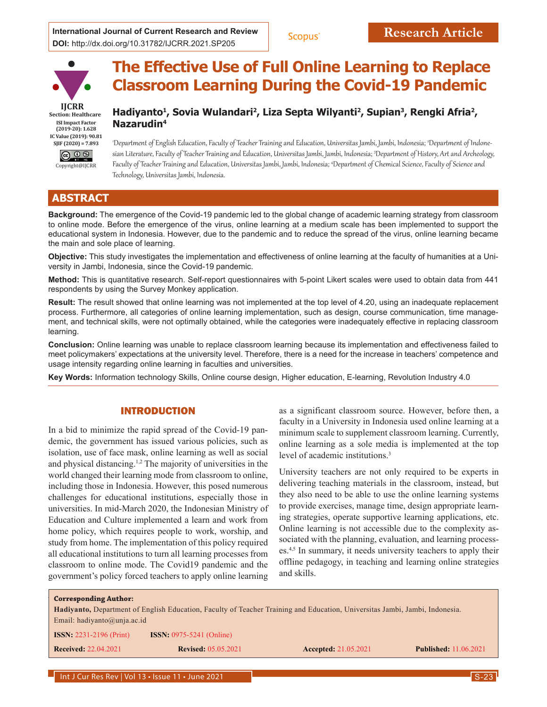International Journal of Current Research and Review **Research Article DOI:** http://dx.doi.org/10.31782/IJCRR.2021.SP205





# **The Effective Use of Full Online Learning to Replace Classroom Learning During the Covid-19 Pandemic**

# Hadiyanto<sup>1</sup>, Sovia Wulandari<sup>2</sup>, Liza Septa Wilyanti<sup>2</sup>, Supian<sup>3</sup>, Rengki Afria<sup>2</sup>, **Nazarudin4**

'Department of English Education, Faculty of Teacher Training and Education, Universitas Jambi, Jambi, Indonesia; °Department of Indonesian Literature, Faculty of Teacher Training and Education, Universitas Jambi, Jambi, Indonesia; <sup>3</sup> Department of History, Art and Archeology, Faculty of Teacher Training and Education, Universitas Jambi, Jambi, Indonesia; <sup>4</sup> Department of Chemical Science, Faculty of Science and Technology, Universitas Jambi, Indonesia.

# **ABSTRACT**

**Background:** The emergence of the Covid-19 pandemic led to the global change of academic learning strategy from classroom to online mode. Before the emergence of the virus, online learning at a medium scale has been implemented to support the educational system in Indonesia. However, due to the pandemic and to reduce the spread of the virus, online learning became the main and sole place of learning.

**Objective:** This study investigates the implementation and effectiveness of online learning at the faculty of humanities at a University in Jambi, Indonesia, since the Covid-19 pandemic.

**Method:** This is quantitative research. Self-report questionnaires with 5-point Likert scales were used to obtain data from 441 respondents by using the Survey Monkey application.

**Result:** The result showed that online learning was not implemented at the top level of 4.20, using an inadequate replacement process. Furthermore, all categories of online learning implementation, such as design, course communication, time management, and technical skills, were not optimally obtained, while the categories were inadequately effective in replacing classroom learning.

**Conclusion:** Online learning was unable to replace classroom learning because its implementation and effectiveness failed to meet policymakers' expectations at the university level. Therefore, there is a need for the increase in teachers' competence and usage intensity regarding online learning in faculties and universities.

**Key Words:** Information technology Skills, Online course design, Higher education, E-learning, Revolution Industry 4.0

## INTRODUCTION

In a bid to minimize the rapid spread of the Covid-19 pandemic, the government has issued various policies, such as isolation, use of face mask, online learning as well as social and physical distancing.1,2 The majority of universities in the world changed their learning mode from classroom to online, including those in Indonesia. However, this posed numerous challenges for educational institutions, especially those in universities. In mid-March 2020, the Indonesian Ministry of Education and Culture implemented a learn and work from home policy, which requires people to work, worship, and study from home. The implementation of this policy required all educational institutions to turn all learning processes from classroom to online mode. The Covid19 pandemic and the government's policy forced teachers to apply online learning

as a significant classroom source. However, before then, a faculty in a University in Indonesia used online learning at a minimum scale to supplement classroom learning. Currently, online learning as a sole media is implemented at the top level of academic institutions. 3

University teachers are not only required to be experts in delivering teaching materials in the classroom, instead, but they also need to be able to use the online learning systems to provide exercises, manage time, design appropriate learning strategies, operate supportive learning applications, etc. Online learning is not accessible due to the complexity associated with the planning, evaluation, and learning processes.4,5 In summary, it needs university teachers to apply their offline pedagogy, in teaching and learning online strategies and skills.

| <b>Corresponding Author:</b>                                                                                                       |                                     |                             |                              |  |  |  |
|------------------------------------------------------------------------------------------------------------------------------------|-------------------------------------|-----------------------------|------------------------------|--|--|--|
| <b>Hadiyanto, Department of English Education, Faculty of Teacher Training and Education, Universitas Jambi, Jambi, Indonesia.</b> |                                     |                             |                              |  |  |  |
| Email: hadiyanto@unja.ac.id                                                                                                        |                                     |                             |                              |  |  |  |
| <b>ISSN:</b> 2231-2196 (Print)                                                                                                     | <b>ISSN:</b> $0975 - 5241$ (Online) |                             |                              |  |  |  |
| <b>Received: 22.04.2021</b>                                                                                                        | <b>Revised: 05.05.2021</b>          | <b>Accepted: 21.05.2021</b> | <b>Published:</b> 11.06.2021 |  |  |  |
|                                                                                                                                    |                                     |                             |                              |  |  |  |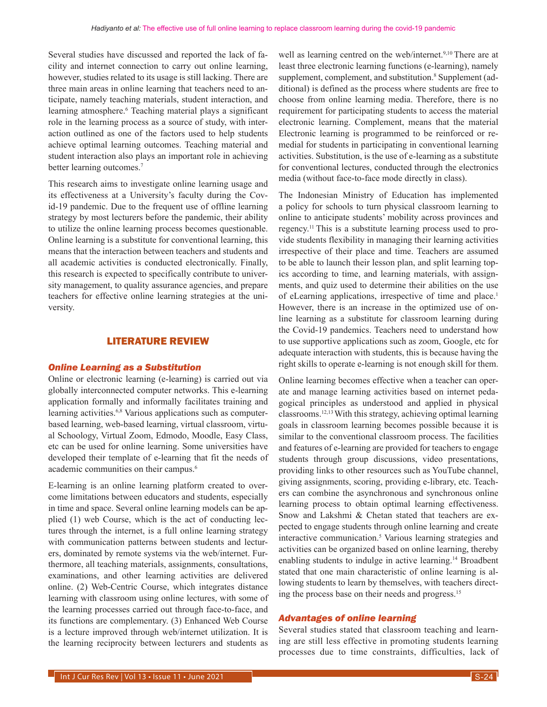Several studies have discussed and reported the lack of facility and internet connection to carry out online learning, however, studies related to its usage is still lacking. There are three main areas in online learning that teachers need to anticipate, namely teaching materials, student interaction, and learning atmosphere.<sup>6</sup> Teaching material plays a significant role in the learning process as a source of study, with interaction outlined as one of the factors used to help students achieve optimal learning outcomes. Teaching material and student interaction also plays an important role in achieving better learning outcomes.<sup>7</sup>

This research aims to investigate online learning usage and its effectiveness at a University's faculty during the Covid-19 pandemic. Due to the frequent use of offline learning strategy by most lecturers before the pandemic, their ability to utilize the online learning process becomes questionable. Online learning is a substitute for conventional learning, this means that the interaction between teachers and students and all academic activities is conducted electronically. Finally, this research is expected to specifically contribute to university management, to quality assurance agencies, and prepare teachers for effective online learning strategies at the university.

#### LITERATURE REVIEW

#### *Online Learning as a Substitution*

Online or electronic learning (e-learning) is carried out via globally interconnected computer networks. This e-learning application formally and informally facilitates training and learning activities.<sup>6,8</sup> Various applications such as computerbased learning, web-based learning, virtual classroom, virtual Schoology, Virtual Zoom, Edmodo, Moodle, Easy Class, etc can be used for online learning. Some universities have developed their template of e-learning that fit the needs of academic communities on their campus.6

E-learning is an online learning platform created to overcome limitations between educators and students, especially in time and space. Several online learning models can be applied (1) web Course, which is the act of conducting lectures through the internet, is a full online learning strategy with communication patterns between students and lecturers, dominated by remote systems via the web/internet. Furthermore, all teaching materials, assignments, consultations, examinations, and other learning activities are delivered online. (2) Web-Centric Course, which integrates distance learning with classroom using online lectures, with some of the learning processes carried out through face-to-face, and its functions are complementary. (3) Enhanced Web Course is a lecture improved through web/internet utilization. It is the learning reciprocity between lecturers and students as well as learning centred on the web/internet.<sup>9,10</sup> There are at least three electronic learning functions (e-learning), namely supplement, complement, and substitution.<sup>8</sup> Supplement (additional) is defined as the process where students are free to choose from online learning media. Therefore, there is no requirement for participating students to access the material electronic learning. Complement, means that the material Electronic learning is programmed to be reinforced or remedial for students in participating in conventional learning activities. Substitution, is the use of e-learning as a substitute for conventional lectures, conducted through the electronics media (without face-to-face mode directly in class).

The Indonesian Ministry of Education has implemented a policy for schools to turn physical classroom learning to online to anticipate students' mobility across provinces and regency.11 This is a substitute learning process used to provide students flexibility in managing their learning activities irrespective of their place and time. Teachers are assumed to be able to launch their lesson plan, and split learning topics according to time, and learning materials, with assignments, and quiz used to determine their abilities on the use of eLearning applications, irrespective of time and place.<sup>1</sup> However, there is an increase in the optimized use of online learning as a substitute for classroom learning during the Covid-19 pandemics. Teachers need to understand how to use supportive applications such as zoom, Google, etc for adequate interaction with students, this is because having the right skills to operate e-learning is not enough skill for them.

Online learning becomes effective when a teacher can operate and manage learning activities based on internet pedagogical principles as understood and applied in physical classrooms.12,13 With this strategy, achieving optimal learning goals in classroom learning becomes possible because it is similar to the conventional classroom process. The facilities and features of e-learning are provided for teachers to engage students through group discussions, video presentations, providing links to other resources such as YouTube channel, giving assignments, scoring, providing e-library, etc. Teachers can combine the asynchronous and synchronous online learning process to obtain optimal learning effectiveness. Snow and Lakshmi & Chetan stated that teachers are expected to engage students through online learning and create interactive communication.5 Various learning strategies and activities can be organized based on online learning, thereby enabling students to indulge in active learning.<sup>14</sup> Broadbent stated that one main characteristic of online learning is allowing students to learn by themselves, with teachers directing the process base on their needs and progress.<sup>15</sup>

## *Advantages of online learning*

Several studies stated that classroom teaching and learning are still less effective in promoting students learning processes due to time constraints, difficulties, lack of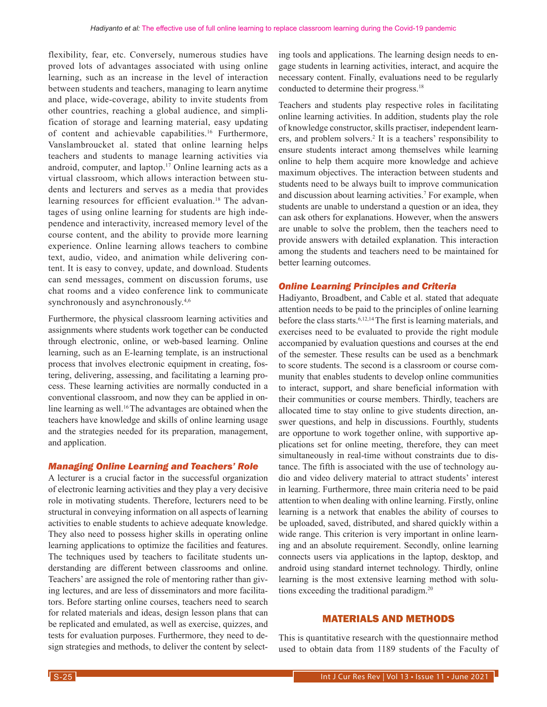flexibility, fear, etc. Conversely, numerous studies have proved lots of advantages associated with using online learning, such as an increase in the level of interaction between students and teachers, managing to learn anytime and place, wide-coverage, ability to invite students from other countries, reaching a global audience, and simplification of storage and learning material, easy updating of content and achievable capabilities.16 Furthermore, Vanslambroucket al. stated that online learning helps teachers and students to manage learning activities via android, computer, and laptop.17 Online learning acts as a virtual classroom, which allows interaction between students and lecturers and serves as a media that provides learning resources for efficient evaluation.<sup>18</sup> The advantages of using online learning for students are high independence and interactivity, increased memory level of the course content, and the ability to provide more learning experience. Online learning allows teachers to combine text, audio, video, and animation while delivering content. It is easy to convey, update, and download. Students can send messages, comment on discussion forums, use chat rooms and a video conference link to communicate synchronously and asynchronously.<sup>4,6</sup>

Furthermore, the physical classroom learning activities and assignments where students work together can be conducted through electronic, online, or web-based learning. Online learning, such as an E-learning template, is an instructional process that involves electronic equipment in creating, fostering, delivering, assessing, and facilitating a learning process. These learning activities are normally conducted in a conventional classroom, and now they can be applied in online learning as well.<sup>16</sup> The advantages are obtained when the teachers have knowledge and skills of online learning usage and the strategies needed for its preparation, management, and application.

#### *Managing Online Learning and Teachers' Role*

A lecturer is a crucial factor in the successful organization of electronic learning activities and they play a very decisive role in motivating students. Therefore, lecturers need to be structural in conveying information on all aspects of learning activities to enable students to achieve adequate knowledge. They also need to possess higher skills in operating online learning applications to optimize the facilities and features. The techniques used by teachers to facilitate students understanding are different between classrooms and online. Teachers' are assigned the role of mentoring rather than giving lectures, and are less of disseminators and more facilitators. Before starting online courses, teachers need to search for related materials and ideas, design lesson plans that can be replicated and emulated, as well as exercise, quizzes, and tests for evaluation purposes. Furthermore, they need to design strategies and methods, to deliver the content by selecting tools and applications. The learning design needs to engage students in learning activities, interact, and acquire the necessary content. Finally, evaluations need to be regularly conducted to determine their progress.<sup>18</sup>

Teachers and students play respective roles in facilitating online learning activities. In addition, students play the role of knowledge constructor, skills practiser, independent learners, and problem solvers.<sup>2</sup> It is a teachers' responsibility to ensure students interact among themselves while learning online to help them acquire more knowledge and achieve maximum objectives. The interaction between students and students need to be always built to improve communication and discussion about learning activities.7 For example, when students are unable to understand a question or an idea, they can ask others for explanations. However, when the answers are unable to solve the problem, then the teachers need to provide answers with detailed explanation. This interaction among the students and teachers need to be maintained for better learning outcomes.

#### *Online Learning Principles and Criteria*

Hadiyanto, Broadbent, and Cable et al. stated that adequate attention needs to be paid to the principles of online learning before the class starts.<sup>6,12,14</sup> The first is learning materials, and exercises need to be evaluated to provide the right module accompanied by evaluation questions and courses at the end of the semester. These results can be used as a benchmark to score students. The second is a classroom or course community that enables students to develop online communities to interact, support, and share beneficial information with their communities or course members. Thirdly, teachers are allocated time to stay online to give students direction, answer questions, and help in discussions. Fourthly, students are opportune to work together online, with supportive applications set for online meeting, therefore, they can meet simultaneously in real-time without constraints due to distance. The fifth is associated with the use of technology audio and video delivery material to attract students' interest in learning. Furthermore, three main criteria need to be paid attention to when dealing with online learning. Firstly, online learning is a network that enables the ability of courses to be uploaded, saved, distributed, and shared quickly within a wide range. This criterion is very important in online learning and an absolute requirement. Secondly, online learning connects users via applications in the laptop, desktop, and android using standard internet technology. Thirdly, online learning is the most extensive learning method with solutions exceeding the traditional paradigm.20

## MATERIALS AND METHODS

This is quantitative research with the questionnaire method used to obtain data from 1189 students of the Faculty of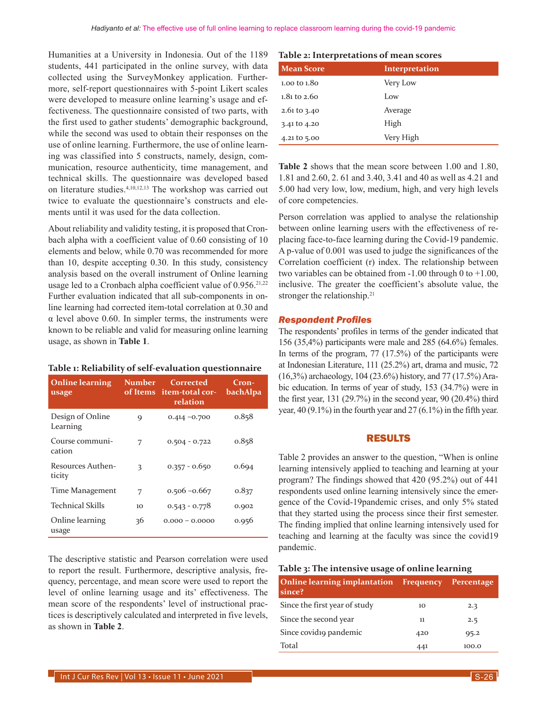Humanities at a University in Indonesia. Out of the 1189 students, 441 participated in the online survey, with data collected using the SurveyMonkey application. Furthermore, self-report questionnaires with 5-point Likert scales were developed to measure online learning's usage and effectiveness. The questionnaire consisted of two parts, with the first used to gather students' demographic background, while the second was used to obtain their responses on the use of online learning. Furthermore, the use of online learning was classified into 5 constructs, namely, design, communication, resource authenticity, time management, and technical skills. The questionnaire was developed based on literature studies.4,10,12,13 The workshop was carried out twice to evaluate the questionnaire's constructs and elements until it was used for the data collection.

About reliability and validity testing, it is proposed that Cronbach alpha with a coefficient value of 0.60 consisting of 10 elements and below, while 0.70 was recommended for more than 10, despite accepting 0.30. In this study, consistency analysis based on the overall instrument of Online learning usage led to a Cronbach alpha coefficient value of 0.956.<sup>21,22</sup> Further evaluation indicated that all sub-components in online learning had corrected item-total correlation at 0.30 and α level above 0.60. In simpler terms, the instruments were known to be reliable and valid for measuring online learning usage, as shown in **Table 1**.

#### **Table 1: Reliability of self-evaluation questionnaire**

| <b>Online learning</b><br>usage | Number | Corrected<br>of Items item-total cor-<br>relation | Cron-<br>bachAlpa |
|---------------------------------|--------|---------------------------------------------------|-------------------|
| Design of Online<br>Learning    | 9      | $0.414 - 0.700$                                   | 0.858             |
| Course communi-<br>cation       | 7      | $0.504 - 0.722$                                   | 0.858             |
| Resources Authen-<br>ticity     | 3      | $0.357 - 0.650$                                   | 0.694             |
| Time Management                 | 7      | $0.506 - 0.667$                                   | 0.837             |
| Technical Skills                | 10     | $0.543 - 0.778$                                   | 0.902             |
| Online learning<br>usage        | 36     | $0.000 - 0.0000$                                  | 0.956             |

The descriptive statistic and Pearson correlation were used to report the result. Furthermore, descriptive analysis, frequency, percentage, and mean score were used to report the level of online learning usage and its' effectiveness. The mean score of the respondents' level of instructional practices is descriptively calculated and interpreted in five levels, as shown in **Table 2**.

| Table 2: Interpretations of mean scores |  |  |  |
|-----------------------------------------|--|--|--|
|-----------------------------------------|--|--|--|

| <b>Mean Score</b>       | Interpretation |
|-------------------------|----------------|
| 1.00 to 1.80            | Very Low       |
| $1.81 \text{ to } 2.60$ | Low            |
| $2.61$ to 3.40          | Average        |
| 3.41 to 4.20            | High           |
| 4.21 to 5.00            | Very High      |

**Table 2** shows that the mean score between 1.00 and 1.80, 1.81 and 2.60, 2. 61 and 3.40, 3.41 and 40 as well as 4.21 and 5.00 had very low, low, medium, high, and very high levels of core competencies.

Person correlation was applied to analyse the relationship between online learning users with the effectiveness of replacing face-to-face learning during the Covid-19 pandemic. A p-value of 0.001 was used to judge the significances of the Correlation coefficient (r) index. The relationship between two variables can be obtained from  $-1.00$  through 0 to  $+1.00$ , inclusive. The greater the coefficient's absolute value, the stronger the relationship.<sup>21</sup>

#### *Respondent Profiles*

The respondents' profiles in terms of the gender indicated that 156 (35,4%) participants were male and 285 (64.6%) females. In terms of the program, 77 (17.5%) of the participants were at Indonesian Literature, 111 (25.2%) art, drama and music, 72 (16,3%) archaeology, 104 (23.6%) history, and 77 (17.5%) Arabic education. In terms of year of study, 153 (34.7%) were in the first year, 131 (29.7%) in the second year, 90 (20.4%) third year, 40 (9.1%) in the fourth year and 27 (6.1%) in the fifth year.

## RESULTS

Table 2 provides an answer to the question, "When is online learning intensively applied to teaching and learning at your program? The findings showed that 420 (95.2%) out of 441 respondents used online learning intensively since the emergence of the Covid-19pandemic crises, and only 5% stated that they started using the process since their first semester. The finding implied that online learning intensively used for teaching and learning at the faculty was since the covid19 pandemic.

#### **Table 3: The intensive usage of online learning**

| <b>Online learning implantation</b> Frequency<br>since? |     | Percentage |
|---------------------------------------------------------|-----|------------|
| Since the first year of study                           | 10  | 2.3        |
| Since the second year                                   | 11  | 2.5        |
| Since covidio pandemic                                  | 420 | 95.2       |
| Total                                                   | 441 | 100.0      |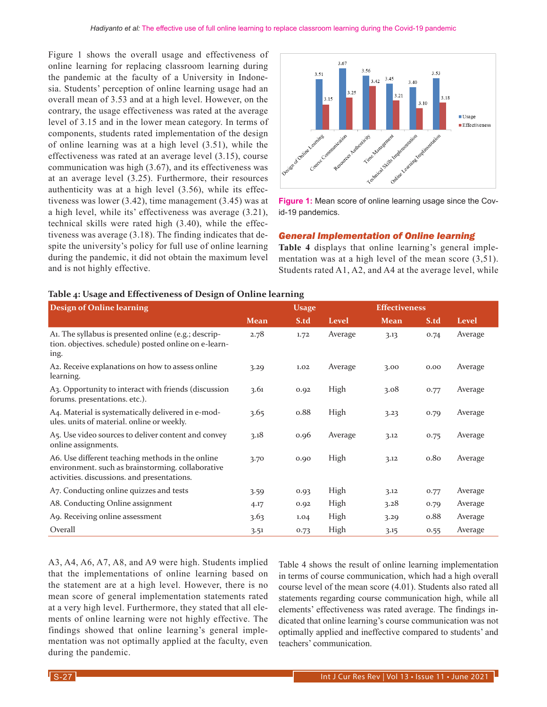Figure 1 shows the overall usage and effectiveness of online learning for replacing classroom learning during the pandemic at the faculty of a University in Indonesia. Students' perception of online learning usage had an overall mean of 3.53 and at a high level. However, on the contrary, the usage effectiveness was rated at the average level of 3.15 and in the lower mean category. In terms of components, students rated implementation of the design of online learning was at a high level (3.51), while the effectiveness was rated at an average level (3.15), course communication was high (3.67), and its effectiveness was at an average level (3.25). Furthermore, their resources authenticity was at a high level (3.56), while its effectiveness was lower (3.42), time management (3.45) was at a high level, while its' effectiveness was average (3.21), technical skills were rated high (3.40), while the effectiveness was average (3.18). The finding indicates that despite the university's policy for full use of online learning during the pandemic, it did not obtain the maximum level and is not highly effective.



**Figure 1:** Mean score of online learning usage since the Covid-19 pandemics.

#### *General Implementation of Online learning*

**Table 4** displays that online learning's general implementation was at a high level of the mean score (3,51). Students rated A1, A2, and A4 at the average level, while

## **Table 4: Usage and Effectiveness of Design of Online learning**

| <b>Design of Online learning</b>                                                                                                                     |             | <b>Usage</b> |              |             | <b>Effectiveness</b> |              |  |
|------------------------------------------------------------------------------------------------------------------------------------------------------|-------------|--------------|--------------|-------------|----------------------|--------------|--|
|                                                                                                                                                      | <b>Mean</b> | S.td         | <b>Level</b> | <b>Mean</b> | S.td                 | <b>Level</b> |  |
| A1. The syllabus is presented online (e.g.; descrip-<br>tion. objectives. schedule) posted online on e-learn-<br>ing.                                | 2.78        | 1.72         | Average      | 3.13        | 0.74                 | Average      |  |
| A <sub>2</sub> . Receive explanations on how to assess online<br>learning.                                                                           | 3.29        | 1.02         | Average      | 3.00        | 0.00                 | Average      |  |
| A <sub>3</sub> . Opportunity to interact with friends (discussion<br>forums. presentations. etc.).                                                   | 3.61        | 0.92         | High         | 3.08        | 0.77                 | Average      |  |
| A4. Material is systematically delivered in e-mod-<br>ules. units of material. online or weekly.                                                     | 3.65        | 0.88         | High         | 3.23        | 0.79                 | Average      |  |
| A5. Use video sources to deliver content and convey<br>online assignments.                                                                           | 3.18        | 0.96         | Average      | 3.12        | 0.75                 | Average      |  |
| A6. Use different teaching methods in the online<br>environment. such as brainstorming. collaborative<br>activities. discussions. and presentations. | 3.70        | 0.90         | High         | 3.12        | 0.80                 | Average      |  |
| A7. Conducting online quizzes and tests                                                                                                              | 3.59        | 0.93         | High         | 3.12        | 0.77                 | Average      |  |
| A8. Conducting Online assignment                                                                                                                     | 4.17        | 0.92         | High         | 3.28        | 0.79                 | Average      |  |
| A9. Receiving online assessment                                                                                                                      | 3.63        | 1.04         | High         | 3.29        | 0.88                 | Average      |  |
| Overall                                                                                                                                              | 3.51        | 0.73         | High         | 3.15        | 0.55                 | Average      |  |

A3, A4, A6, A7, A8, and A9 were high. Students implied that the implementations of online learning based on the statement are at a high level. However, there is no mean score of general implementation statements rated at a very high level. Furthermore, they stated that all elements of online learning were not highly effective. The findings showed that online learning's general implementation was not optimally applied at the faculty, even during the pandemic.

Table 4 shows the result of online learning implementation in terms of course communication, which had a high overall course level of the mean score (4.01). Students also rated all statements regarding course communication high, while all elements' effectiveness was rated average. The findings indicated that online learning's course communication was not optimally applied and ineffective compared to students' and teachers' communication.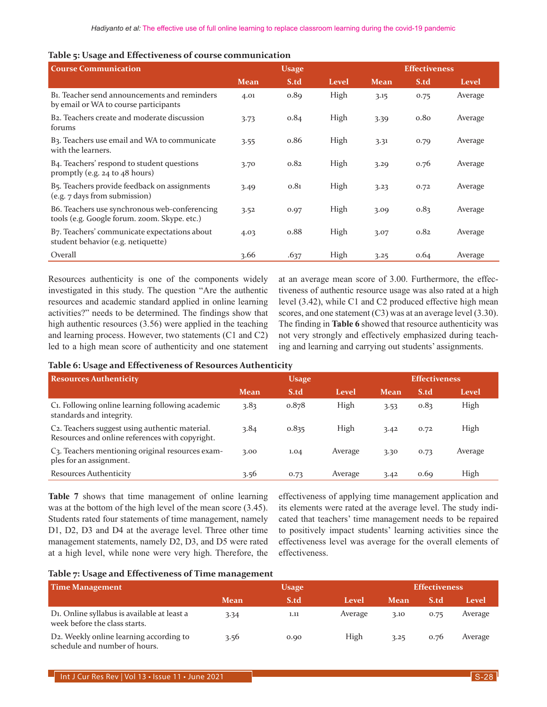|  |  | Table 5: Usage and Effectiveness of course communication |
|--|--|----------------------------------------------------------|
|--|--|----------------------------------------------------------|

| <b>Course Communication</b>                                                                        |             | <b>Usage</b> |       | <b>Effectiveness</b> |      |         |  |
|----------------------------------------------------------------------------------------------------|-------------|--------------|-------|----------------------|------|---------|--|
|                                                                                                    | <b>Mean</b> | S.td         | Level | <b>Mean</b>          | S.td | Level   |  |
| B <sub>1</sub> . Teacher send announcements and reminders<br>by email or WA to course participants | 4.01        | 0.89         | High  | 3.15                 | 0.75 | Average |  |
| B <sub>2</sub> . Teachers create and moderate discussion<br>forums                                 | 3.73        | 0.84         | High  | 3.39                 | 0.80 | Average |  |
| B <sub>3</sub> . Teachers use email and WA to communicate<br>with the learners.                    | 3.55        | 0.86         | High  | 3.31                 | 0.79 | Average |  |
| B4. Teachers' respond to student questions<br>promptly (e.g. $24$ to $48$ hours)                   | 3.70        | 0.82         | High  | 3.29                 | 0.76 | Average |  |
| B <sub>5</sub> . Teachers provide feedback on assignments<br>(e.g. 7 days from submission)         | 3.49        | 0.81         | High  | 3.23                 | 0.72 | Average |  |
| B6. Teachers use synchronous web-conferencing<br>tools (e.g. Google forum. zoom. Skype. etc.)      | 3.52        | 0.97         | High  | 3.09                 | 0.83 | Average |  |
| B7. Teachers' communicate expectations about<br>student behavior (e.g. netiquette)                 | 4.03        | 0.88         | High  | 3.07                 | 0.82 | Average |  |
| Overall                                                                                            | 3.66        | .637         | High  | 3.25                 | 0.64 | Average |  |

Resources authenticity is one of the components widely investigated in this study. The question "Are the authentic resources and academic standard applied in online learning activities?" needs to be determined. The findings show that high authentic resources (3.56) were applied in the teaching and learning process. However, two statements (C1 and C2) led to a high mean score of authenticity and one statement at an average mean score of 3.00. Furthermore, the effectiveness of authentic resource usage was also rated at a high level (3.42), while C1 and C2 produced effective high mean scores, and one statement (C3) was at an average level (3.30). The finding in **Table 6** showed that resource authenticity was not very strongly and effectively emphasized during teaching and learning and carrying out students' assignments.

#### **Table 6: Usage and Effectiveness of Resources Authenticity**

| <b>Resources Authenticity</b><br><b>Usage</b>                                                                  |             |       | <b>Effectiveness</b> |             |      |         |
|----------------------------------------------------------------------------------------------------------------|-------------|-------|----------------------|-------------|------|---------|
|                                                                                                                | <b>Mean</b> | S.td  | Level                | <b>Mean</b> | S.td | Level   |
| C <sub>1</sub> . Following online learning following academic<br>standards and integrity.                      | 3.83        | 0.878 | High                 | 3.53        | 0.83 | High    |
| C <sub>2</sub> . Teachers suggest using authentic material.<br>Resources and online references with copyright. | 3.84        | 0.835 | High                 | 3.42        | 0.72 | High    |
| C3. Teachers mentioning original resources exam-<br>ples for an assignment.                                    | 3.00        | 1.04  | Average              | 3.30        | 0.73 | Average |
| <b>Resources Authenticity</b>                                                                                  | 3.56        | 0.73  | Average              | 3.42        | 0.69 | High    |

**Table 7** shows that time management of online learning was at the bottom of the high level of the mean score (3.45). Students rated four statements of time management, namely D1, D2, D3 and D4 at the average level. Three other time management statements, namely D2, D3, and D5 were rated at a high level, while none were very high. Therefore, the effectiveness of applying time management application and its elements were rated at the average level. The study indicated that teachers' time management needs to be repaired to positively impact students' learning activities since the effectiveness level was average for the overall elements of effectiveness.

#### **Table 7: Usage and Effectiveness of Time management**

| Time Management                                                                           | <b>Usage</b> |      |         | <b>Effectiveness</b> |      |         |
|-------------------------------------------------------------------------------------------|--------------|------|---------|----------------------|------|---------|
|                                                                                           | Mean         | S.td | Level   | Mean                 | S.td | Level   |
| D <sub>1</sub> . Online syllabus is available at least a<br>week before the class starts. | 3.34         | 1.11 | Average | 3.10                 | 0.75 | Average |
| D2. Weekly online learning according to<br>schedule and number of hours.                  | 3.56         | 0.90 | High    | 3.25                 | 0.76 | Average |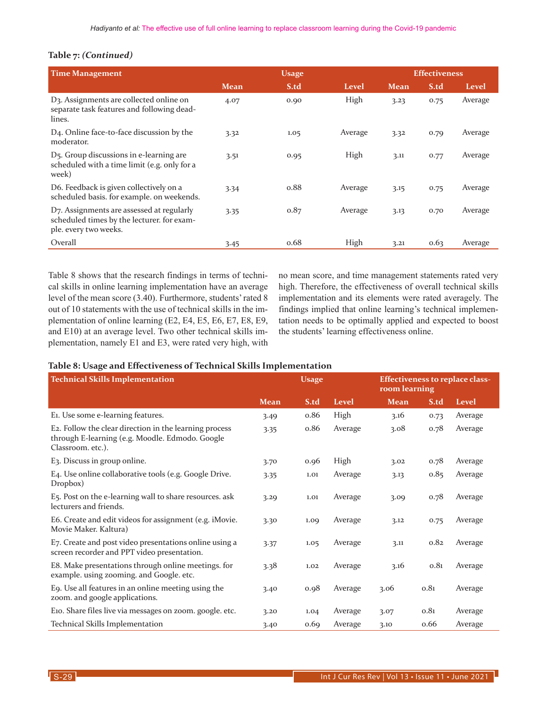## **Table 7:** *(Continued)*

| <b>Time Management</b>                                                                                           |             | <b>Effectiveness</b> |         |             |      |         |
|------------------------------------------------------------------------------------------------------------------|-------------|----------------------|---------|-------------|------|---------|
|                                                                                                                  | <b>Mean</b> | S.td                 | Level   | <b>Mean</b> | S.td | Level   |
| D3. Assignments are collected online on<br>separate task features and following dead-<br>lines.                  | 4.07        | 0.90                 | High    | 3.23        | 0.75 | Average |
| D <sub>4</sub> . Online face-to-face discussion by the<br>moderator.                                             | 3.32        | 1.05                 | Average | 3.32        | 0.79 | Average |
| D <sub>5</sub> . Group discussions in e-learning are<br>scheduled with a time limit (e.g. only for a<br>week)    | 3.51        | 0.95                 | High    | 3.11        | 0.77 | Average |
| D6. Feedback is given collectively on a<br>scheduled basis. for example, on weekends.                            | 3.34        | 0.88                 | Average | 3.15        | 0.75 | Average |
| D7. Assignments are assessed at regularly<br>scheduled times by the lecturer. for exam-<br>ple. every two weeks. | 3.35        | 0.87                 | Average | 3.13        | 0.70 | Average |
| Overall                                                                                                          | 3.45        | 0.68                 | High    | 3.21        | 0.63 | Average |

Table 8 shows that the research findings in terms of technical skills in online learning implementation have an average level of the mean score (3.40). Furthermore, students' rated 8 out of 10 statements with the use of technical skills in the implementation of online learning (E2, E4, E5, E6, E7, E8, E9, and E10) at an average level. Two other technical skills implementation, namely E1 and E3, were rated very high, with

no mean score, and time management statements rated very high. Therefore, the effectiveness of overall technical skills implementation and its elements were rated averagely. The findings implied that online learning's technical implementation needs to be optimally applied and expected to boost the students' learning effectiveness online.

## **Table 8: Usage and Effectiveness of Technical Skills Implementation**

| <b>Technical Skills Implementation</b>                                                                                         | <b>Usage</b> |      | <b>Effectiveness to replace class-</b><br>room learning |             |      |         |
|--------------------------------------------------------------------------------------------------------------------------------|--------------|------|---------------------------------------------------------|-------------|------|---------|
|                                                                                                                                | <b>Mean</b>  | S.td | Level                                                   | <b>Mean</b> | S.td | Level   |
| E1. Use some e-learning features.                                                                                              | 3.49         | 0.86 | High                                                    | 3.16        | 0.73 | Average |
| E2. Follow the clear direction in the learning process<br>through E-learning (e.g. Moodle. Edmodo. Google<br>Classroom. etc.). | 3.35         | 0.86 | Average                                                 | 3.08        | 0.78 | Average |
| E3. Discuss in group online.                                                                                                   | 3.70         | 0.96 | High                                                    | 3.02        | 0.78 | Average |
| E4. Use online collaborative tools (e.g. Google Drive.<br>Dropbox)                                                             | 3.35         | 1.01 | Average                                                 | 3.13        | 0.85 | Average |
| E <sub>5</sub> . Post on the e-learning wall to share resources. ask<br>lecturers and friends.                                 | 3.29         | 1.01 | Average                                                 | 3.09        | 0.78 | Average |
| E6. Create and edit videos for assignment (e.g. iMovie.<br>Movie Maker. Kaltura)                                               | 3.30         | 1.09 | Average                                                 | 3.12        | 0.75 | Average |
| E7. Create and post video presentations online using a<br>screen recorder and PPT video presentation.                          | 3.37         | 1.05 | Average                                                 | 3.11        | 0.82 | Average |
| E8. Make presentations through online meetings. for<br>example. using zooming. and Google. etc.                                | 3.38         | 1.02 | Average                                                 | 3.16        | 0.81 | Average |
| E9. Use all features in an online meeting using the<br>zoom. and google applications.                                          | 3.40         | 0.98 | Average                                                 | 3.06        | 0.81 | Average |
| E10. Share files live via messages on zoom. google. etc.                                                                       | 3.20         | 1.04 | Average                                                 | 3.07        | 0.81 | Average |
| Technical Skills Implementation                                                                                                | 3.40         | 0.69 | Average                                                 | 3.10        | 0.66 | Average |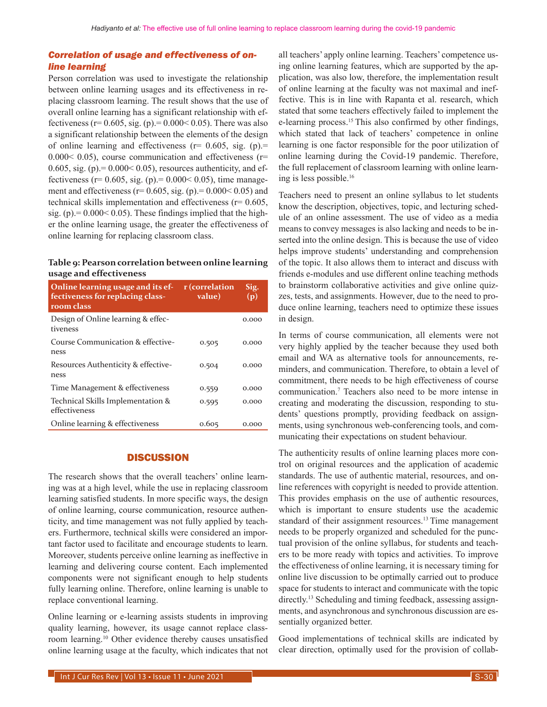## *Correlation of usage and effectiveness of online learning*

Person correlation was used to investigate the relationship between online learning usages and its effectiveness in replacing classroom learning. The result shows that the use of overall online learning has a significant relationship with effectiveness ( $r= 0.605$ , sig. (p). = 0.000 < 0.05). There was also a significant relationship between the elements of the design of online learning and effectiveness ( $r= 0.605$ , sig. (p).=  $0.000< 0.05$ ), course communication and effectiveness (r=  $0.605$ , sig. (p) $= 0.000 < 0.05$ ), resources authenticity, and effectiveness ( $r = 0.605$ , sig. ( $p$ ). = 0.000 < 0.05), time management and effectiveness ( $r= 0.605$ , sig. (p) $= 0.000 < 0.05$ ) and technical skills implementation and effectiveness (r= 0.605, sig. (p) $= 0.000 < 0.05$ ). These findings implied that the higher the online learning usage, the greater the effectiveness of online learning for replacing classroom class.

## **Table 9: Pearson correlation between online learning usage and effectiveness**

| Online learning usage and its ef-<br>fectiveness for replacing class-<br>room class | r (correlation<br>value) | Sig.<br>(p) |
|-------------------------------------------------------------------------------------|--------------------------|-------------|
| Design of Online learning & effec-<br>tiveness                                      |                          | 0.000       |
| Course Communication & effective-<br>ness                                           | 0.505                    | 0.000       |
| Resources Authenticity & effective-<br>ness                                         | 0.504                    | 0.000       |
| Time Management & effectiveness                                                     | 0.559                    | 0.000       |
| Technical Skills Implementation &<br>effectiveness                                  | 0.595                    | 0.000       |
| Online learning & effectiveness                                                     | 0.605                    | 0.000       |

## **DISCUSSION**

The research shows that the overall teachers' online learning was at a high level, while the use in replacing classroom learning satisfied students. In more specific ways, the design of online learning, course communication, resource authenticity, and time management was not fully applied by teachers. Furthermore, technical skills were considered an important factor used to facilitate and encourage students to learn. Moreover, students perceive online learning as ineffective in learning and delivering course content. Each implemented components were not significant enough to help students fully learning online. Therefore, online learning is unable to replace conventional learning.

Online learning or e-learning assists students in improving quality learning, however, its usage cannot replace classroom learning.10 Other evidence thereby causes unsatisfied online learning usage at the faculty, which indicates that not all teachers' apply online learning. Teachers' competence using online learning features, which are supported by the application, was also low, therefore, the implementation result of online learning at the faculty was not maximal and ineffective. This is in line with Rapanta et al. research, which stated that some teachers effectively failed to implement the e-learning process.<sup>15</sup> This also confirmed by other findings, which stated that lack of teachers' competence in online learning is one factor responsible for the poor utilization of online learning during the Covid-19 pandemic. Therefore, the full replacement of classroom learning with online learning is less possible.16

Teachers need to present an online syllabus to let students know the description, objectives, topic, and lecturing schedule of an online assessment. The use of video as a media means to convey messages is also lacking and needs to be inserted into the online design. This is because the use of video helps improve students' understanding and comprehension of the topic. It also allows them to interact and discuss with friends e-modules and use different online teaching methods to brainstorm collaborative activities and give online quizzes, tests, and assignments. However, due to the need to produce online learning, teachers need to optimize these issues in design.

In terms of course communication, all elements were not very highly applied by the teacher because they used both email and WA as alternative tools for announcements, reminders, and communication. Therefore, to obtain a level of commitment, there needs to be high effectiveness of course communication.7 Teachers also need to be more intense in creating and moderating the discussion, responding to students' questions promptly, providing feedback on assignments, using synchronous web-conferencing tools, and communicating their expectations on student behaviour.

The authenticity results of online learning places more control on original resources and the application of academic standards. The use of authentic material, resources, and online references with copyright is needed to provide attention. This provides emphasis on the use of authentic resources, which is important to ensure students use the academic standard of their assignment resources.<sup>13</sup> Time management needs to be properly organized and scheduled for the punctual provision of the online syllabus, for students and teachers to be more ready with topics and activities. To improve the effectiveness of online learning, it is necessary timing for online live discussion to be optimally carried out to produce space for students to interact and communicate with the topic directly.<sup>13</sup> Scheduling and timing feedback, assessing assignments, and asynchronous and synchronous discussion are essentially organized better.

Good implementations of technical skills are indicated by clear direction, optimally used for the provision of collab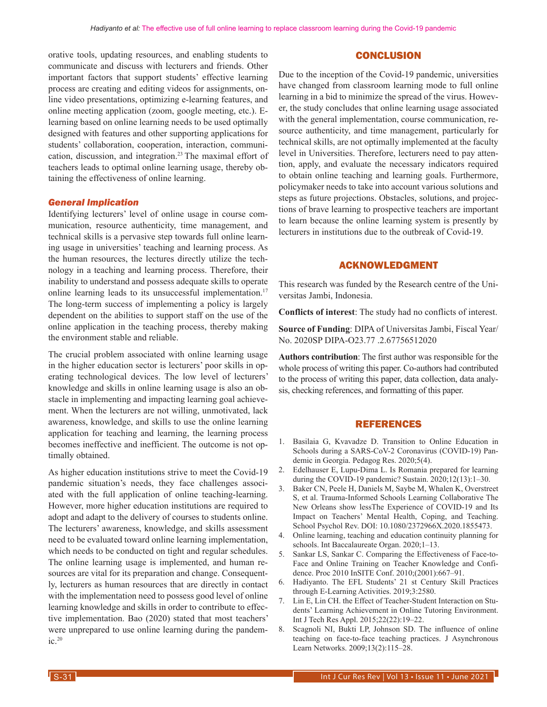orative tools, updating resources, and enabling students to communicate and discuss with lecturers and friends. Other important factors that support students' effective learning process are creating and editing videos for assignments, online video presentations, optimizing e-learning features, and online meeting application (zoom, google meeting, etc.). Elearning based on online learning needs to be used optimally designed with features and other supporting applications for students' collaboration, cooperation, interaction, communication, discussion, and integration.23 The maximal effort of teachers leads to optimal online learning usage, thereby obtaining the effectiveness of online learning.

#### *General Implication*

Identifying lecturers' level of online usage in course communication, resource authenticity, time management, and technical skills is a pervasive step towards full online learning usage in universities' teaching and learning process. As the human resources, the lectures directly utilize the technology in a teaching and learning process. Therefore, their inability to understand and possess adequate skills to operate online learning leads to its unsuccessful implementation.<sup>17</sup> The long-term success of implementing a policy is largely dependent on the abilities to support staff on the use of the online application in the teaching process, thereby making the environment stable and reliable.

The crucial problem associated with online learning usage in the higher education sector is lecturers' poor skills in operating technological devices. The low level of lecturers' knowledge and skills in online learning usage is also an obstacle in implementing and impacting learning goal achievement. When the lecturers are not willing, unmotivated, lack awareness, knowledge, and skills to use the online learning application for teaching and learning, the learning process becomes ineffective and inefficient. The outcome is not optimally obtained.

As higher education institutions strive to meet the Covid-19 pandemic situation's needs, they face challenges associated with the full application of online teaching-learning. However, more higher education institutions are required to adopt and adapt to the delivery of courses to students online. The lecturers' awareness, knowledge, and skills assessment need to be evaluated toward online learning implementation, which needs to be conducted on tight and regular schedules. The online learning usage is implemented, and human resources are vital for its preparation and change. Consequently, lecturers as human resources that are directly in contact with the implementation need to possess good level of online learning knowledge and skills in order to contribute to effective implementation. Bao (2020) stated that most teachers' were unprepared to use online learning during the pandemic.20

## **CONCLUSION**

Due to the inception of the Covid-19 pandemic, universities have changed from classroom learning mode to full online learning in a bid to minimize the spread of the virus. However, the study concludes that online learning usage associated with the general implementation, course communication, resource authenticity, and time management, particularly for technical skills, are not optimally implemented at the faculty level in Universities. Therefore, lecturers need to pay attention, apply, and evaluate the necessary indicators required to obtain online teaching and learning goals. Furthermore, policymaker needs to take into account various solutions and steps as future projections. Obstacles, solutions, and projections of brave learning to prospective teachers are important to learn because the online learning system is presently by lecturers in institutions due to the outbreak of Covid-19.

## ACKNOWLEDGMENT

This research was funded by the Research centre of the Universitas Jambi, Indonesia.

**Conflicts of interest**: The study had no conflicts of interest.

**Source of Funding**: DIPA of Universitas Jambi, Fiscal Year/ No. 2020SP DIPA-O23.77 .2.67756512020

**Authors contribution**: The first author was responsible for the whole process of writing this paper. Co-authors had contributed to the process of writing this paper, data collection, data analysis, checking references, and formatting of this paper.

### REFERENCES

- 1. Basilaia G, Kvavadze D. Transition to Online Education in Schools during a SARS-CoV-2 Coronavirus (COVID-19) Pandemic in Georgia. Pedagog Res. 2020;5(4).
- 2. Edelhauser E, Lupu-Dima L. Is Romania prepared for learning during the COVID-19 pandemic? Sustain. 2020;12(13):1–30.
- 3. Baker CN, Peele H, Daniels M, Saybe M, Whalen K, Overstreet S, et al. Trauma-Informed Schools Learning Collaborative The New Orleans show lessThe Experience of COVID-19 and Its Impact on Teachers' Mental Health, Coping, and Teaching. School Psychol Rev. DOI: 10.1080/2372966X.2020.1855473.
- 4. Online learning, teaching and education continuity planning for schools. Int Baccalaureate Organ. 2020;1–13.
- 5. Sankar LS, Sankar C. Comparing the Effectiveness of Face-to-Face and Online Training on Teacher Knowledge and Confidence. Proc 2010 InSITE Conf. 2010;(2001):667–91.
- 6. Hadiyanto. The EFL Students' 21 st Century Skill Practices through E-Learning Activities. 2019;3:2580.
- 7. Lin E, Lin CH. the Effect of Teacher-Student Interaction on Students' Learning Achievement in Online Tutoring Environment. Int J Tech Res Appl. 2015;22(22):19–22.
- 8. Scagnoli NI, Bukti LP, Johnson SD. The influence of online teaching on face-to-face teaching practices. J Asynchronous Learn Networks. 2009;13(2):115–28.